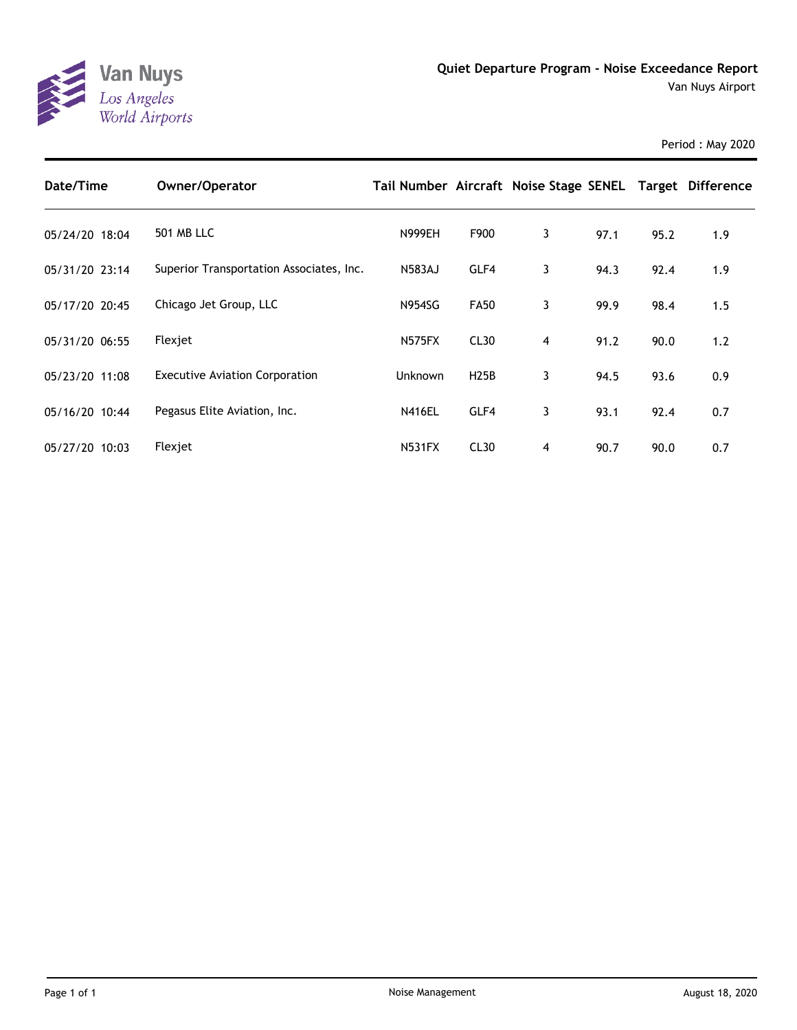

| Date/Time      | Owner/Operator                           | Tail Number Aircraft Noise Stage SENEL Target Difference |                  |   |      |      |     |
|----------------|------------------------------------------|----------------------------------------------------------|------------------|---|------|------|-----|
| 05/24/20 18:04 | <b>501 MB LLC</b>                        | <b>N999EH</b>                                            | F900             | 3 | 97.1 | 95.2 | 1.9 |
| 05/31/20 23:14 | Superior Transportation Associates, Inc. | <b>N583AJ</b>                                            | GLF4             | 3 | 94.3 | 92.4 | 1.9 |
| 05/17/20 20:45 | Chicago Jet Group, LLC                   | <b>N954SG</b>                                            | <b>FA50</b>      | 3 | 99.9 | 98.4 | 1.5 |
| 05/31/20 06:55 | Flexjet                                  | <b>N575FX</b>                                            | CL <sub>30</sub> | 4 | 91.2 | 90.0 | 1.2 |
| 05/23/20 11:08 | <b>Executive Aviation Corporation</b>    | Unknown                                                  | H25B             | 3 | 94.5 | 93.6 | 0.9 |
| 05/16/20 10:44 | Pegasus Elite Aviation, Inc.             | <b>N416EL</b>                                            | GLF4             | 3 | 93.1 | 92.4 | 0.7 |
| 05/27/20 10:03 | Flexjet                                  | <b>N531FX</b>                                            | CL <sub>30</sub> | 4 | 90.7 | 90.0 | 0.7 |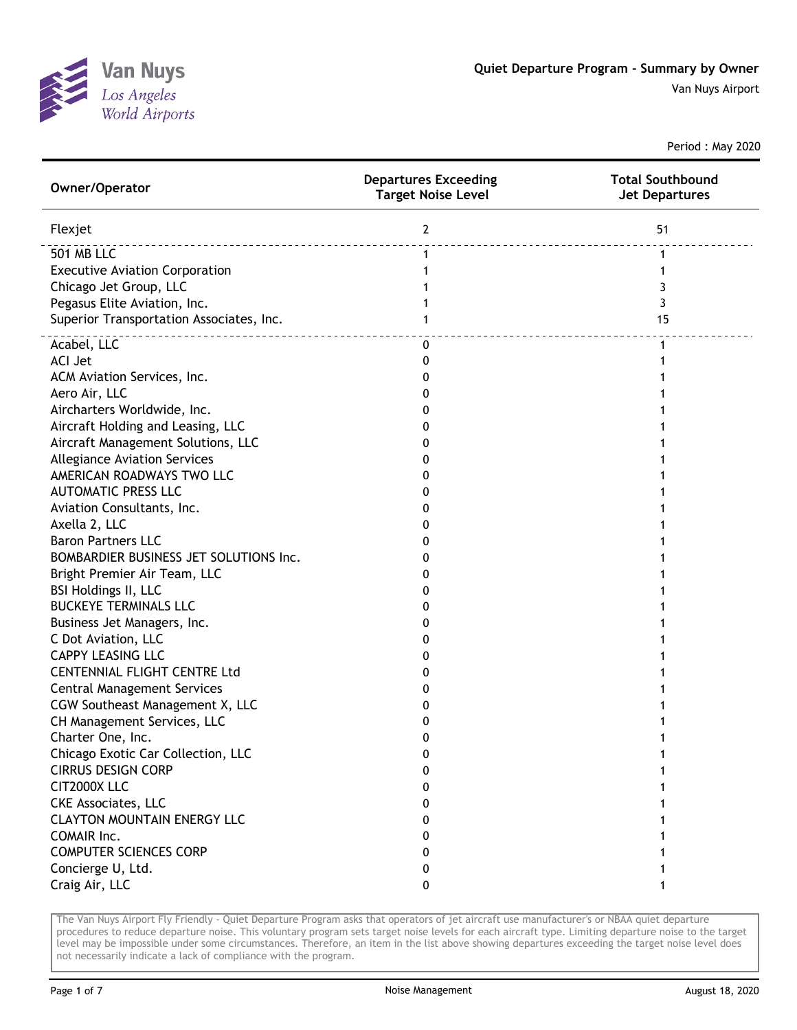

| Owner/Operator                           | <b>Departures Exceeding</b><br><b>Target Noise Level</b> | <b>Total Southbound</b><br><b>Jet Departures</b> |
|------------------------------------------|----------------------------------------------------------|--------------------------------------------------|
| Flexjet                                  | $\mathbf{2}$                                             | 51                                               |
| <b>501 MB LLC</b>                        | $\mathbf 1$                                              | $\mathbf{1}$                                     |
| <b>Executive Aviation Corporation</b>    | 1                                                        | 1                                                |
| Chicago Jet Group, LLC                   | 1                                                        | 3                                                |
| Pegasus Elite Aviation, Inc.             |                                                          | 3                                                |
| Superior Transportation Associates, Inc. | 1                                                        | 15                                               |
| Acabel, LLC                              | 0                                                        | 1                                                |
| <b>ACI Jet</b>                           | 0                                                        |                                                  |
| ACM Aviation Services, Inc.              | 0                                                        |                                                  |
| Aero Air, LLC                            | 0                                                        |                                                  |
| Aircharters Worldwide, Inc.              | 0                                                        |                                                  |
| Aircraft Holding and Leasing, LLC        | 0                                                        |                                                  |
| Aircraft Management Solutions, LLC       | 0                                                        |                                                  |
| <b>Allegiance Aviation Services</b>      | 0                                                        |                                                  |
| AMERICAN ROADWAYS TWO LLC                | 0                                                        |                                                  |
| <b>AUTOMATIC PRESS LLC</b>               | 0                                                        |                                                  |
| Aviation Consultants, Inc.               | 0                                                        |                                                  |
| Axella 2, LLC                            | 0                                                        |                                                  |
| <b>Baron Partners LLC</b>                | 0                                                        |                                                  |
| BOMBARDIER BUSINESS JET SOLUTIONS Inc.   | 0                                                        |                                                  |
| Bright Premier Air Team, LLC             | 0                                                        |                                                  |
| <b>BSI Holdings II, LLC</b>              | 0                                                        |                                                  |
| <b>BUCKEYE TERMINALS LLC</b>             | 0                                                        |                                                  |
| Business Jet Managers, Inc.              | 0                                                        |                                                  |
| C Dot Aviation, LLC                      | 0                                                        |                                                  |
| <b>CAPPY LEASING LLC</b>                 | 0                                                        |                                                  |
| <b>CENTENNIAL FLIGHT CENTRE Ltd</b>      | 0                                                        |                                                  |
| <b>Central Management Services</b>       | 0                                                        |                                                  |
| CGW Southeast Management X, LLC          | 0                                                        |                                                  |
| CH Management Services, LLC              | 0                                                        |                                                  |
| Charter One, Inc.                        | 0                                                        |                                                  |
| Chicago Exotic Car Collection, LLC       | 0                                                        | 1                                                |
| <b>CIRRUS DESIGN CORP</b>                | 0                                                        | 1                                                |
| CIT2000X LLC                             | 0                                                        |                                                  |
| <b>CKE Associates, LLC</b>               | 0                                                        |                                                  |
| <b>CLAYTON MOUNTAIN ENERGY LLC</b>       | 0                                                        |                                                  |
| COMAIR Inc.                              | 0                                                        |                                                  |
| <b>COMPUTER SCIENCES CORP</b>            | 0                                                        |                                                  |
| Concierge U, Ltd.                        | 0                                                        | 1                                                |
| Craig Air, LLC                           | 0                                                        | 1                                                |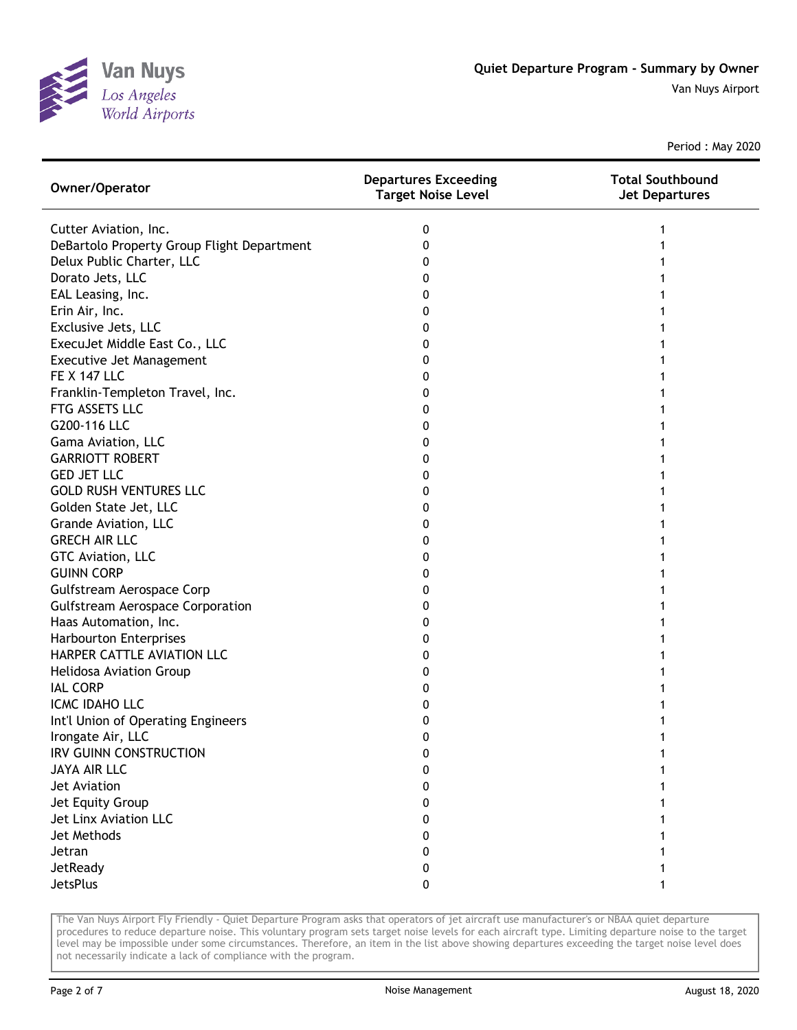

| Owner/Operator                             | <b>Departures Exceeding</b><br><b>Target Noise Level</b> | <b>Total Southbound</b><br><b>Jet Departures</b> |
|--------------------------------------------|----------------------------------------------------------|--------------------------------------------------|
| Cutter Aviation, Inc.                      | 0                                                        |                                                  |
| DeBartolo Property Group Flight Department | 0                                                        |                                                  |
| Delux Public Charter, LLC                  | 0                                                        |                                                  |
| Dorato Jets, LLC                           | 0                                                        |                                                  |
| EAL Leasing, Inc.                          | 0                                                        |                                                  |
| Erin Air, Inc.                             | 0                                                        |                                                  |
| Exclusive Jets, LLC                        | 0                                                        |                                                  |
| ExecuJet Middle East Co., LLC              | 0                                                        |                                                  |
| Executive Jet Management                   | 0                                                        |                                                  |
| <b>FE X 147 LLC</b>                        | 0                                                        |                                                  |
| Franklin-Templeton Travel, Inc.            | 0                                                        |                                                  |
| FTG ASSETS LLC                             | 0                                                        |                                                  |
| G200-116 LLC                               | 0                                                        |                                                  |
| Gama Aviation, LLC                         | 0                                                        |                                                  |
| <b>GARRIOTT ROBERT</b>                     | 0                                                        |                                                  |
| <b>GED JET LLC</b>                         | 0                                                        |                                                  |
| <b>GOLD RUSH VENTURES LLC</b>              | 0                                                        |                                                  |
| Golden State Jet, LLC                      | 0                                                        |                                                  |
| Grande Aviation, LLC                       | 0                                                        |                                                  |
| <b>GRECH AIR LLC</b>                       | 0                                                        |                                                  |
| GTC Aviation, LLC                          | 0                                                        |                                                  |
| <b>GUINN CORP</b>                          | 0                                                        |                                                  |
| Gulfstream Aerospace Corp                  | 0                                                        |                                                  |
| <b>Gulfstream Aerospace Corporation</b>    | 0                                                        |                                                  |
| Haas Automation, Inc.                      | 0                                                        |                                                  |
| <b>Harbourton Enterprises</b>              | 0                                                        |                                                  |
| HARPER CATTLE AVIATION LLC                 | 0                                                        |                                                  |
| Helidosa Aviation Group                    | 0                                                        |                                                  |
| <b>IAL CORP</b>                            | 0                                                        |                                                  |
| ICMC IDAHO LLC                             | 0                                                        |                                                  |
| Int'l Union of Operating Engineers         | 0                                                        |                                                  |
| Irongate Air, LLC                          | 0                                                        |                                                  |
| IRV GUINN CONSTRUCTION                     | 0                                                        |                                                  |
| JAYA AIR LLC                               | 0                                                        |                                                  |
| Jet Aviation                               | 0                                                        |                                                  |
| Jet Equity Group                           | 0                                                        |                                                  |
| Jet Linx Aviation LLC                      | 0                                                        |                                                  |
| Jet Methods                                | 0                                                        |                                                  |
| Jetran                                     | 0                                                        |                                                  |
| JetReady                                   | 0                                                        |                                                  |
| JetsPlus                                   | 0                                                        |                                                  |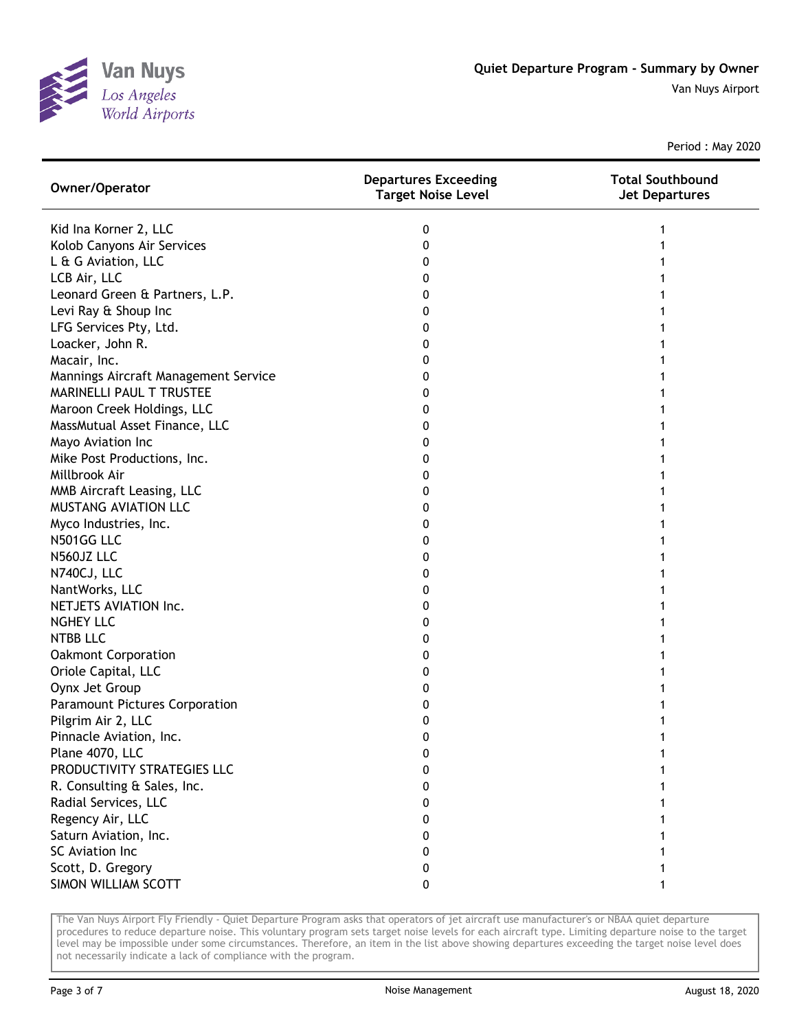

| Owner/Operator                       | <b>Departures Exceeding</b><br><b>Target Noise Level</b> | <b>Total Southbound</b><br><b>Jet Departures</b> |
|--------------------------------------|----------------------------------------------------------|--------------------------------------------------|
| Kid Ina Korner 2, LLC                | 0                                                        |                                                  |
| Kolob Canyons Air Services           | 0                                                        |                                                  |
| L & G Aviation, LLC                  | 0                                                        |                                                  |
| LCB Air, LLC                         | 0                                                        |                                                  |
| Leonard Green & Partners, L.P.       | 0                                                        |                                                  |
| Levi Ray & Shoup Inc                 | 0                                                        |                                                  |
| LFG Services Pty, Ltd.               | 0                                                        |                                                  |
| Loacker, John R.                     | 0                                                        |                                                  |
| Macair, Inc.                         | 0                                                        |                                                  |
| Mannings Aircraft Management Service | 0                                                        |                                                  |
| MARINELLI PAUL T TRUSTEE             | 0                                                        |                                                  |
| Maroon Creek Holdings, LLC           | 0                                                        |                                                  |
| MassMutual Asset Finance, LLC        | 0                                                        |                                                  |
| Mayo Aviation Inc                    | 0                                                        |                                                  |
| Mike Post Productions, Inc.          | 0                                                        |                                                  |
| Millbrook Air                        | 0                                                        |                                                  |
| MMB Aircraft Leasing, LLC            | 0                                                        |                                                  |
| <b>MUSTANG AVIATION LLC</b>          | 0                                                        |                                                  |
| Myco Industries, Inc.                | 0                                                        |                                                  |
| N501GG LLC                           | 0                                                        |                                                  |
| N560JZ LLC                           | 0                                                        |                                                  |
| N740CJ, LLC                          | 0                                                        |                                                  |
| NantWorks, LLC                       | 0                                                        |                                                  |
| NETJETS AVIATION Inc.                | 0                                                        |                                                  |
| <b>NGHEY LLC</b>                     | 0                                                        |                                                  |
| <b>NTBB LLC</b>                      | 0                                                        |                                                  |
| <b>Oakmont Corporation</b>           | 0                                                        |                                                  |
| Oriole Capital, LLC                  | 0                                                        |                                                  |
| Oynx Jet Group                       | 0                                                        |                                                  |
| Paramount Pictures Corporation       | 0                                                        |                                                  |
| Pilgrim Air 2, LLC                   | 0                                                        |                                                  |
| Pinnacle Aviation, Inc.              | 0                                                        |                                                  |
| Plane 4070, LLC                      | 0                                                        |                                                  |
| PRODUCTIVITY STRATEGIES LLC          | 0                                                        |                                                  |
| R. Consulting & Sales, Inc.          | 0                                                        |                                                  |
| Radial Services, LLC                 | 0                                                        |                                                  |
| Regency Air, LLC                     | 0                                                        |                                                  |
| Saturn Aviation, Inc.                | 0                                                        |                                                  |
| SC Aviation Inc                      | 0                                                        |                                                  |
| Scott, D. Gregory                    | 0                                                        |                                                  |
| SIMON WILLIAM SCOTT                  | 0                                                        |                                                  |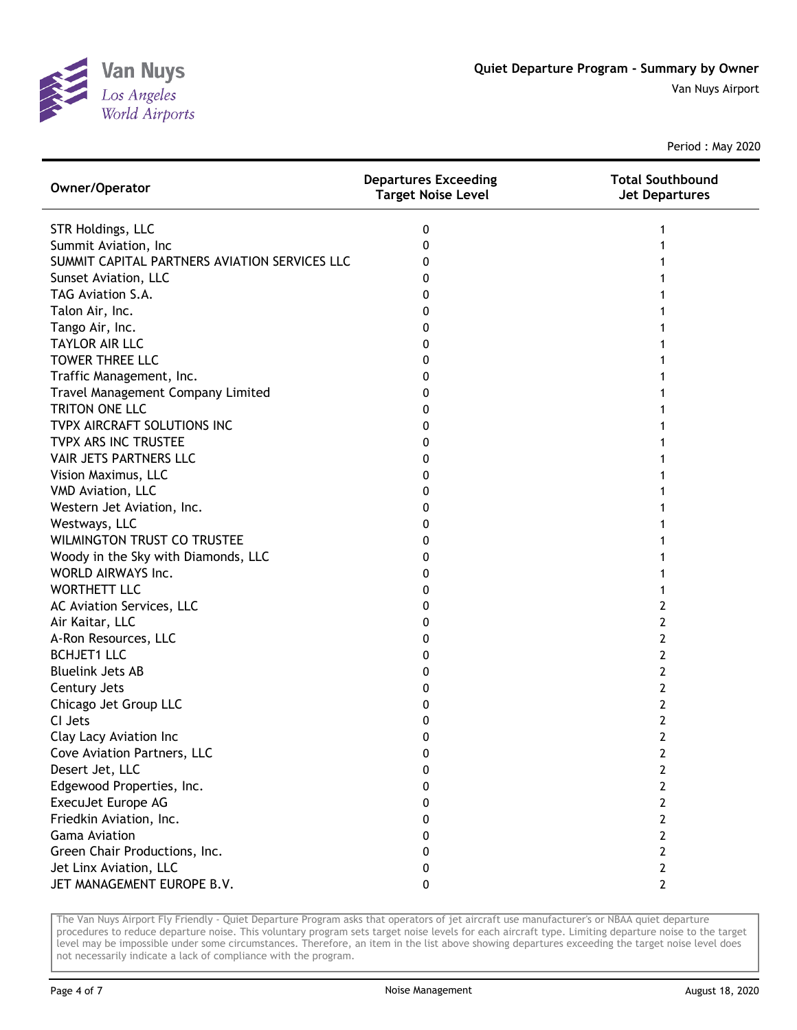

| Owner/Operator                                | <b>Departures Exceeding</b><br><b>Target Noise Level</b> | <b>Total Southbound</b><br><b>Jet Departures</b> |
|-----------------------------------------------|----------------------------------------------------------|--------------------------------------------------|
| <b>STR Holdings, LLC</b>                      | 0                                                        |                                                  |
| Summit Aviation, Inc                          | 0                                                        |                                                  |
| SUMMIT CAPITAL PARTNERS AVIATION SERVICES LLC | 0                                                        |                                                  |
| Sunset Aviation, LLC                          | 0                                                        |                                                  |
| TAG Aviation S.A.                             | 0                                                        |                                                  |
| Talon Air, Inc.                               | 0                                                        |                                                  |
| Tango Air, Inc.                               | 0                                                        |                                                  |
| <b>TAYLOR AIR LLC</b>                         | 0                                                        |                                                  |
| <b>TOWER THREE LLC</b>                        | 0                                                        |                                                  |
| Traffic Management, Inc.                      | 0                                                        |                                                  |
| Travel Management Company Limited             | 0                                                        |                                                  |
| TRITON ONE LLC                                | 0                                                        |                                                  |
| TVPX AIRCRAFT SOLUTIONS INC                   | 0                                                        |                                                  |
| TVPX ARS INC TRUSTEE                          | 0                                                        |                                                  |
| VAIR JETS PARTNERS LLC                        | 0                                                        |                                                  |
| Vision Maximus, LLC                           | 0                                                        |                                                  |
| VMD Aviation, LLC                             | 0                                                        |                                                  |
| Western Jet Aviation, Inc.                    | 0                                                        |                                                  |
| Westways, LLC                                 | 0                                                        |                                                  |
| <b>WILMINGTON TRUST CO TRUSTEE</b>            | 0                                                        |                                                  |
| Woody in the Sky with Diamonds, LLC           | 0                                                        |                                                  |
| WORLD AIRWAYS Inc.                            | 0                                                        |                                                  |
| <b>WORTHETT LLC</b>                           | 0                                                        |                                                  |
| AC Aviation Services, LLC                     | 0                                                        | 2                                                |
| Air Kaitar, LLC                               | 0                                                        | 2                                                |
| A-Ron Resources, LLC                          | 0                                                        | 2                                                |
| <b>BCHJET1 LLC</b>                            | 0                                                        | 2                                                |
| <b>Bluelink Jets AB</b>                       | 0                                                        | 2                                                |
| Century Jets                                  | 0                                                        | 2                                                |
| Chicago Jet Group LLC                         | 0                                                        | 2                                                |
| CI Jets                                       | 0                                                        | 2                                                |
| Clay Lacy Aviation Inc                        | 0                                                        | 2                                                |
| Cove Aviation Partners, LLC                   | 0                                                        | 2                                                |
| Desert Jet, LLC                               | 0                                                        | 2                                                |
| Edgewood Properties, Inc.                     | 0                                                        | 2                                                |
| ExecuJet Europe AG                            | 0                                                        | 2                                                |
| Friedkin Aviation, Inc.                       | 0                                                        | 2                                                |
| <b>Gama Aviation</b>                          | 0                                                        | 2                                                |
| Green Chair Productions, Inc.                 | 0                                                        | 2                                                |
| Jet Linx Aviation, LLC                        | 0                                                        | 2                                                |
| JET MANAGEMENT EUROPE B.V.                    | 0                                                        | $\mathbf{2}$                                     |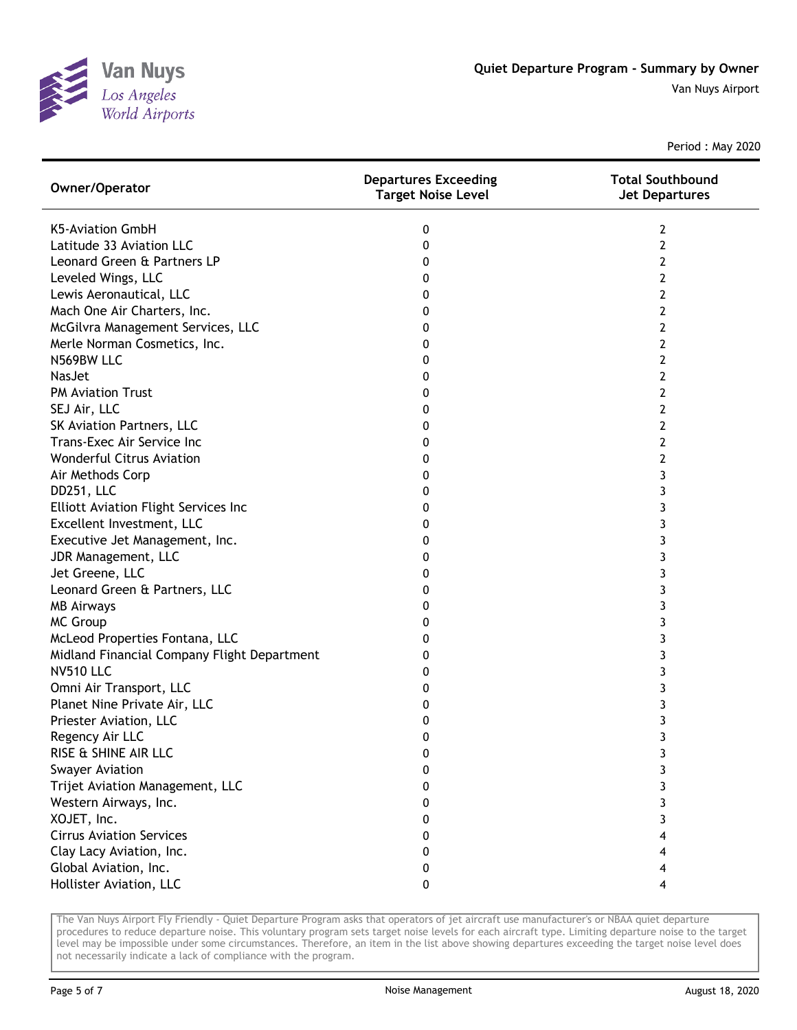

| Owner/Operator                              | <b>Departures Exceeding</b><br><b>Target Noise Level</b> | <b>Total Southbound</b><br><b>Jet Departures</b> |
|---------------------------------------------|----------------------------------------------------------|--------------------------------------------------|
| <b>K5-Aviation GmbH</b>                     | 0                                                        | 2                                                |
| Latitude 33 Aviation LLC                    | 0                                                        | 2                                                |
| Leonard Green & Partners LP                 | 0                                                        | 2                                                |
| Leveled Wings, LLC                          | 0                                                        | 2                                                |
| Lewis Aeronautical, LLC                     | 0                                                        | 2                                                |
| Mach One Air Charters, Inc.                 | 0                                                        | 2                                                |
| McGilvra Management Services, LLC           | 0                                                        | 2                                                |
| Merle Norman Cosmetics, Inc.                | 0                                                        | 2                                                |
| N569BW LLC                                  | 0                                                        | 2                                                |
| <b>NasJet</b>                               | 0                                                        | 2                                                |
| <b>PM Aviation Trust</b>                    | 0                                                        | 2                                                |
| SEJ Air, LLC                                | 0                                                        | 2                                                |
| SK Aviation Partners, LLC                   | 0                                                        | 2                                                |
| Trans-Exec Air Service Inc                  | 0                                                        | 2                                                |
| <b>Wonderful Citrus Aviation</b>            | 0                                                        | 2                                                |
| Air Methods Corp                            | 0                                                        | 3                                                |
| DD251, LLC                                  | 0                                                        | 3                                                |
| <b>Elliott Aviation Flight Services Inc</b> | 0                                                        | 3                                                |
| Excellent Investment, LLC                   | 0                                                        | 3                                                |
| Executive Jet Management, Inc.              | 0                                                        | 3                                                |
| JDR Management, LLC                         | 0                                                        | 3                                                |
| Jet Greene, LLC                             | 0                                                        | 3                                                |
| Leonard Green & Partners, LLC               | 0                                                        | 3                                                |
| <b>MB Airways</b>                           | 0                                                        | 3                                                |
| <b>MC Group</b>                             | 0                                                        | 3                                                |
| McLeod Properties Fontana, LLC              | 0                                                        | 3                                                |
| Midland Financial Company Flight Department | 0                                                        | 3                                                |
| <b>NV510 LLC</b>                            | 0                                                        | 3                                                |
| Omni Air Transport, LLC                     | 0                                                        | 3                                                |
| Planet Nine Private Air, LLC                | 0                                                        | 3                                                |
| Priester Aviation, LLC                      | 0                                                        | 3                                                |
| Regency Air LLC                             | 0                                                        | 3                                                |
| RISE & SHINE AIR LLC                        | 0                                                        | 3                                                |
| <b>Swayer Aviation</b>                      | 0                                                        | 3                                                |
| Trijet Aviation Management, LLC             | 0                                                        | 3                                                |
| Western Airways, Inc.                       | 0                                                        | 3                                                |
| XOJET, Inc.                                 | 0                                                        | 3                                                |
| <b>Cirrus Aviation Services</b>             | 0                                                        |                                                  |
| Clay Lacy Aviation, Inc.                    | 0                                                        |                                                  |
| Global Aviation, Inc.                       | 0                                                        | 4                                                |
| Hollister Aviation, LLC                     | 0                                                        | 4                                                |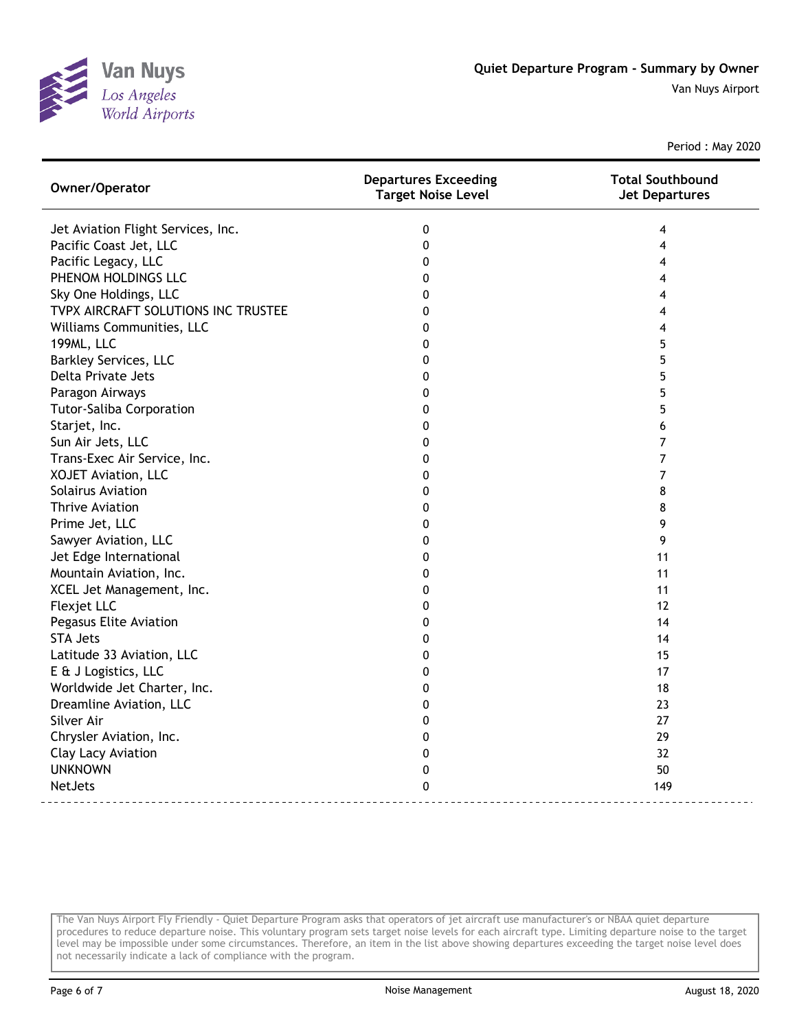

| Owner/Operator                      | <b>Departures Exceeding</b><br><b>Target Noise Level</b> | <b>Total Southbound</b><br><b>Jet Departures</b> |
|-------------------------------------|----------------------------------------------------------|--------------------------------------------------|
| Jet Aviation Flight Services, Inc.  | 0                                                        | 4                                                |
| Pacific Coast Jet, LLC              | $\mathbf{0}$                                             | 4                                                |
| Pacific Legacy, LLC                 | $\mathbf 0$                                              | 4                                                |
| PHENOM HOLDINGS LLC                 | 0                                                        | 4                                                |
| Sky One Holdings, LLC               | 0                                                        | 4                                                |
| TVPX AIRCRAFT SOLUTIONS INC TRUSTEE | $\Omega$                                                 | 4                                                |
| Williams Communities, LLC           | 0                                                        | 4                                                |
| 199ML, LLC                          | $\mathbf{0}$                                             | 5                                                |
| <b>Barkley Services, LLC</b>        | 0                                                        | 5                                                |
| Delta Private Jets                  | 0                                                        | 5                                                |
| Paragon Airways                     | 0                                                        | 5                                                |
| <b>Tutor-Saliba Corporation</b>     | 0                                                        | 5                                                |
| Starjet, Inc.                       | 0                                                        | 6                                                |
| Sun Air Jets, LLC                   | 0                                                        | 7                                                |
| Trans-Exec Air Service, Inc.        | 0                                                        | 7                                                |
| <b>XOJET Aviation, LLC</b>          | 0                                                        | 7                                                |
| Solairus Aviation                   | $\mathbf{0}$                                             | 8                                                |
| <b>Thrive Aviation</b>              | $\mathbf 0$                                              | 8                                                |
| Prime Jet, LLC                      | 0                                                        | 9                                                |
| Sawyer Aviation, LLC                | 0                                                        | 9                                                |
| Jet Edge International              | 0                                                        | 11                                               |
| Mountain Aviation, Inc.             | $\mathbf 0$                                              | 11                                               |
| XCEL Jet Management, Inc.           | 0                                                        | 11                                               |
| Flexjet LLC                         | 0                                                        | 12                                               |
| Pegasus Elite Aviation              | 0                                                        | 14                                               |
| <b>STA Jets</b>                     | 0                                                        | 14                                               |
| Latitude 33 Aviation, LLC           | $\mathbf{0}$                                             | 15                                               |
| E & J Logistics, LLC                | $\mathbf 0$                                              | 17                                               |
| Worldwide Jet Charter, Inc.         | $\mathbf{0}$                                             | 18                                               |
| Dreamline Aviation, LLC             | 0                                                        | 23                                               |
| Silver Air                          | 0                                                        | 27                                               |
| Chrysler Aviation, Inc.             | 0                                                        | 29                                               |
| Clay Lacy Aviation                  | 0                                                        | 32                                               |
| <b>UNKNOWN</b>                      | 0                                                        | 50                                               |
| <b>NetJets</b>                      | 0                                                        | 149                                              |